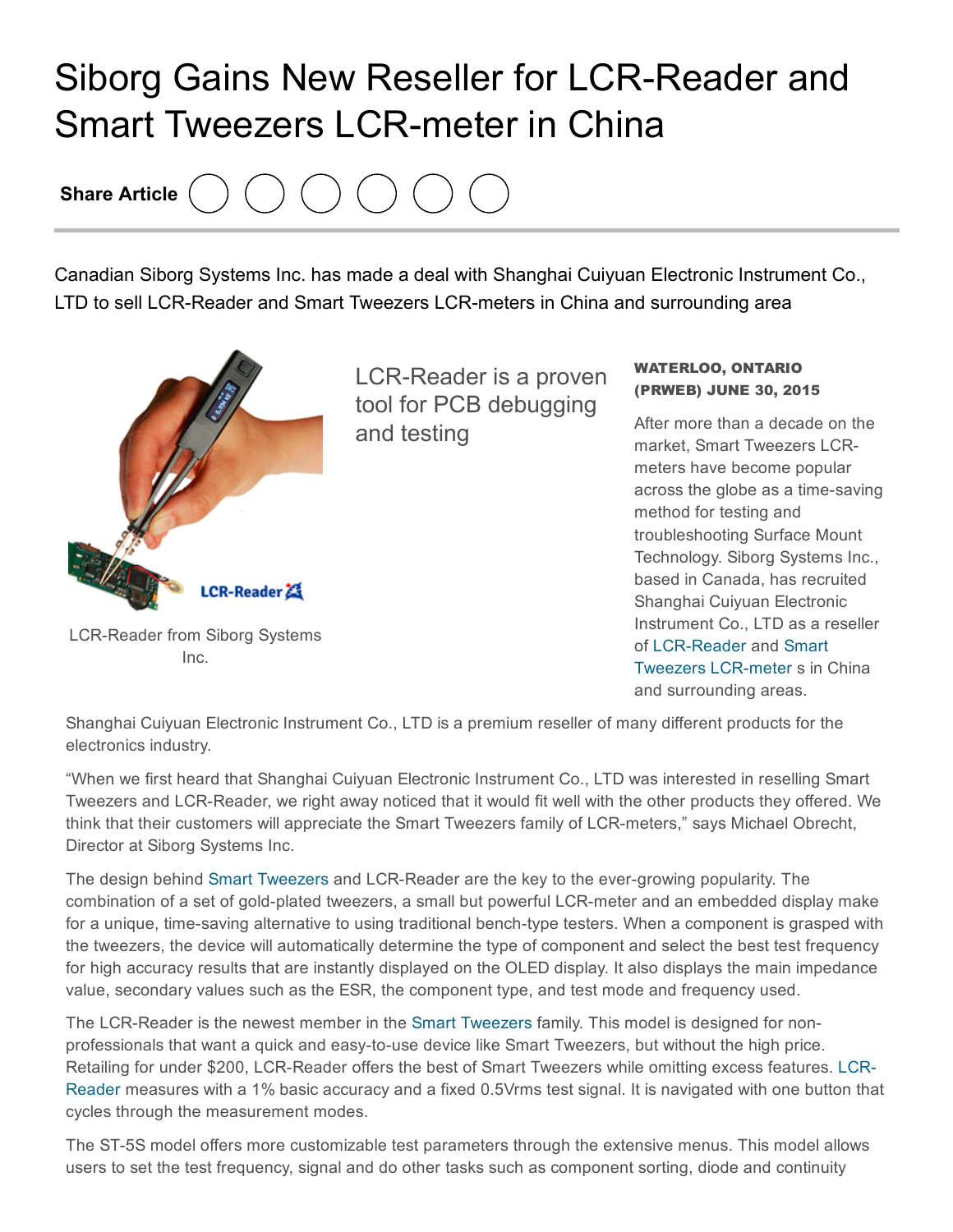## Siborg Gains New Reseller for LCR-Reader and **Smart Tweezers LCR-meter in China**

Share Article

Canadian Siborg Systems Inc. has made a deal with Shanghai Cuiyuan Electronic Instrument Co., LTD to sell LCR-Reader and Smart Tweezers LCR-meters in China and surrounding area



Inc.

LCR-Reader is a proven tool for PCB debugging and testing

## WATERLOO, ONTARIO (PRWEB) JUNE 30, 2015

After more than a decade on the market, Smart Tweezers LCRmeters have become popular across the globe as a time-saving method for testing and troubleshooting Surface Mount Technology. Siborg Systems Inc., based in Canada, has recruited Shanghai Cuiyuan Electronic Instrument Co., LTD as a reseller of [L](http://www.prweb.net/Redirect.aspx?id=aHR0cDovL3d3dy5zbWFydHR3ZWV6ZXJzLnVz)CR-Reader and Smart Tweezers LCR-meter s in China and surrounding areas.

Shanghai Cuiyuan Electronic Instrument Co., LTD is a premium reseller of many different products for the electronics industry.

"When we first heard that Shanghai Cuiyuan Electronic Instrument Co., LTD was interested in reselling Smart Tweezers and LCR-Reader, we right away noticed that it would fit well with the other products they offered. We think that their customers will appreciate the Smart Tweezers family of LCR-meters," says Michael Obrecht, Director at Siborg Systems Inc.

The design behind Smart [Tweezers](http://www.prweb.net/Redirect.aspx?id=aHR0cDovL3d3dy5zbWFydHR3ZWV6ZXJzLmNh) and LCR-Reader are the key to the ever-growing popularity. The combination of a set of gold-plated tweezers, a small but powerful LCR-meter and an embedded display make for a unique, time-saving alternative to using traditional bench-type testers. When a component is grasped with the tweezers, the device will automatically determine the type of component and select the best test frequency for high accuracy results that are instantly displayed on the OLED display. It also displays the main impedance value, secondary values such as the ESR, the component type, and test mode and frequency used.

The LCR-Reader is the newest member in the Smart [Tweezers](http://www.prweb.net/Redirect.aspx?id=aHR0cDovL3d3dy5zbWFydHR3ZWV6ZXJzLmlu) family. This model is designed for nonprofessionals that want a quick and easy-to-use device like Smart Tweezers, but without the high price. Retailing for under \$200, LCR-Reader offers the best of Smart Tweezers while omitting excess features. LCR-Reader measures with a 1% basic accuracy and a fixed 0.5Vrms test signal. It is navigated with one button that cycles through the measurement modes.

The ST-5S model offers more customizable test parameters through the extensive menus. This model allows users to set the test frequency, signal and do other tasks such as component sorting, diode and continuity